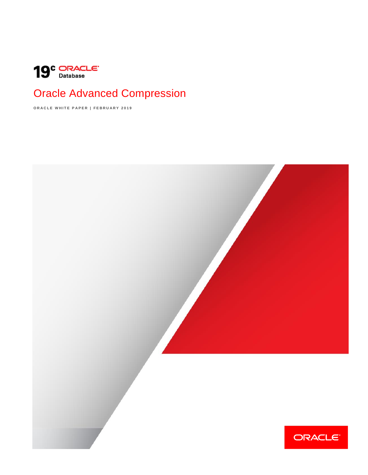<span id="page-0-0"></span>

# Oracle Advanced Compression

**O R A C L E W H I T E P A P E R | F E B R U A R Y 2 0 1 9**

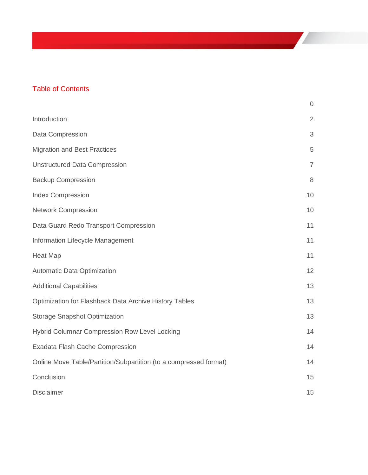# Table of Contents

|                                                                   | $\overline{0}$ |
|-------------------------------------------------------------------|----------------|
| Introduction                                                      | $\overline{2}$ |
| Data Compression                                                  | 3              |
| <b>Migration and Best Practices</b>                               | 5              |
| <b>Unstructured Data Compression</b>                              | $\overline{7}$ |
| <b>Backup Compression</b>                                         | 8              |
| <b>Index Compression</b>                                          | 10             |
| <b>Network Compression</b>                                        | 10             |
| Data Guard Redo Transport Compression                             | 11             |
| Information Lifecycle Management                                  | 11             |
| <b>Heat Map</b>                                                   | 11             |
| Automatic Data Optimization                                       | 12             |
| <b>Additional Capabilities</b>                                    | 13             |
| Optimization for Flashback Data Archive History Tables            | 13             |
| <b>Storage Snapshot Optimization</b>                              | 13             |
| Hybrid Columnar Compression Row Level Locking                     | 14             |
| Exadata Flash Cache Compression                                   | 14             |
| Online Move Table/Partition/Subpartition (to a compressed format) | 14             |
| Conclusion                                                        | 15             |
| <b>Disclaimer</b>                                                 | 15             |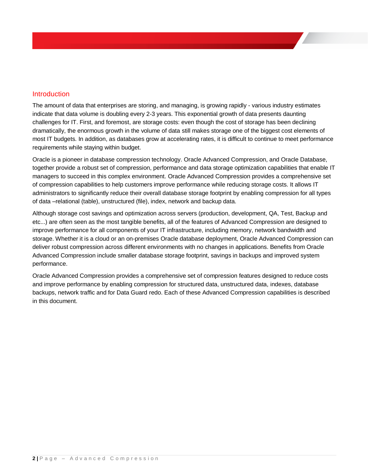# <span id="page-2-0"></span>Introduction

The amount of data that enterprises are storing, and managing, is growing rapidly - various industry estimates indicate that data volume is doubling every 2-3 years. This exponential growth of data presents daunting challenges for IT. First, and foremost, are storage costs: even though the cost of storage has been declining dramatically, the enormous growth in the volume of data still makes storage one of the biggest cost elements of most IT budgets. In addition, as databases grow at accelerating rates, it is difficult to continue to meet performance requirements while staying within budget.

Oracle is a pioneer in database compression technology. Oracle Advanced Compression, and Oracle Database, together provide a robust set of compression, performance and data storage optimization capabilities that enable IT managers to succeed in this complex environment. Oracle Advanced Compression provides a comprehensive set of compression capabilities to help customers improve performance while reducing storage costs. It allows IT administrators to significantly reduce their overall database storage footprint by enabling compression for all types of data –relational (table), unstructured (file), index, network and backup data.

Although storage cost savings and optimization across servers (production, development, QA, Test, Backup and etc...) are often seen as the most tangible benefits, all of the features of Advanced Compression are designed to improve performance for all components of your IT infrastructure, including memory, network bandwidth and storage. Whether it is a cloud or an on-premises Oracle database deployment, Oracle Advanced Compression can deliver robust compression across different environments with no changes in applications. Benefits from Oracle Advanced Compression include smaller database storage footprint, savings in backups and improved system performance.

Oracle Advanced Compression provides a comprehensive set of compression features designed to reduce costs and improve performance by enabling compression for structured data, unstructured data, indexes, database backups, network traffic and for Data Guard redo. Each of these Advanced Compression capabilities is described in this document.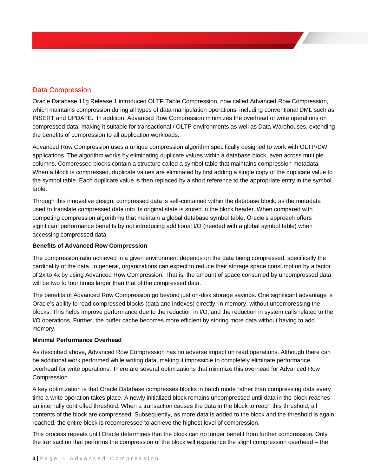# <span id="page-3-0"></span>Data Compression

Oracle Database 11g Release 1 introduced OLTP Table Compression, now called Advanced Row Compression, which maintains compression during all types of data manipulation operations, including conventional DML such as INSERT and UPDATE. In addition, Advanced Row Compression minimizes the overhead of write operations on compressed data, making it suitable for transactional / OLTP environments as well as Data Warehouses, extending the benefits of compression to all application workloads.

Advanced Row Compression uses a unique compression algorithm specifically designed to work with OLTP/DW applications. The algorithm works by eliminating duplicate values within a database block, even across multiple columns. Compressed blocks contain a structure called a symbol table that maintains compression metadata. When a block is compressed, duplicate values are eliminated by first adding a single copy of the duplicate value to the symbol table. Each duplicate value is then replaced by a short reference to the appropriate entry in the symbol table.

Through this innovative design, compressed data is self-contained within the database block, as the metadata used to translate compressed data into its original state is stored in the block header. When compared with competing compression algorithms that maintain a global database symbol table, Oracle's approach offers significant performance benefits by not introducing additional I/O (needed with a global symbol table) when accessing compressed data.

# **Benefits of Advanced Row Compression**

The compression ratio achieved in a given environment depends on the data being compressed, specifically the cardinality of the data. In general, organizations can expect to reduce their storage space consumption by a factor of 2x to 4x by using Advanced Row Compression. That is, the amount of space consumed by uncompressed data will be two to four times larger than that of the compressed data.

The benefits of Advanced Row Compression go beyond just on-disk storage savings. One significant advantage is Oracle's ability to read compressed blocks (data and indexes) directly, in memory, without uncompressing the blocks. This helps improve performance due to the reduction in I/O, and the reduction in system calls related to the I/O operations. Further, the buffer cache becomes more efficient by storing more data without having to add memory.

# **Minimal Performance Overhead**

As described above, Advanced Row Compression has no adverse impact on read operations. Although there can be additional work performed while writing data, making it impossible to completely eliminate performance overhead for write operations. There are several optimizations that minimize this overhead for Advanced Row Compression.

A key optimization is that Oracle Database compresses blocks in batch mode rather than compressing data every time a write operation takes place. A newly initialized block remains uncompressed until data in the block reaches an internally controlled threshold. When a transaction causes the data in the block to reach this threshold, all contents of the block are compressed. Subsequently, as more data is added to the block and the threshold is again reached, the entire block is recompressed to achieve the highest level of compression.

This process repeats until Oracle determines that the block can no longer benefit from further compression. Only the transaction that performs the compression of the block will experience the slight compression overhead – the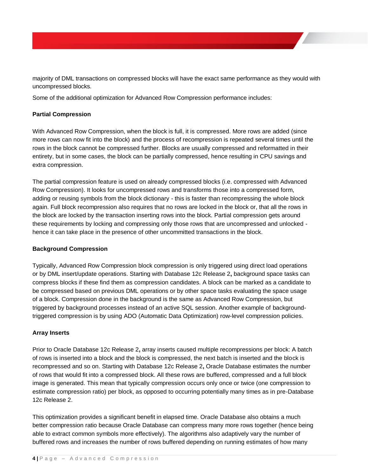majority of DML transactions on compressed blocks will have the exact same performance as they would with uncompressed blocks.

Some of the additional optimization for Advanced Row Compression performance includes:

#### **Partial Compression**

With Advanced Row Compression, when the block is full, it is compressed. More rows are added (since more rows can now fit into the block) and the process of recompression is repeated several times until the rows in the block cannot be compressed further. Blocks are usually compressed and reformatted in their entirety, but in some cases, the block can be partially compressed, hence resulting in CPU savings and extra compression.

The partial compression feature is used on already compressed blocks (i.e. compressed with Advanced Row Compression). It looks for uncompressed rows and transforms those into a compressed form, adding or reusing symbols from the block dictionary - this is faster than recompressing the whole block again. Full block recompression also requires that no rows are locked in the block or, that all the rows in the block are locked by the transaction inserting rows into the block. Partial compression gets around these requirements by locking and compressing only those rows that are uncompressed and unlocked hence it can take place in the presence of other uncommitted transactions in the block.

#### **Background Compression**

Typically, Advanced Row Compression block compression is only triggered using direct load operations or by DML insert/update operations. Starting with Database 12c Release 2**,** background space tasks can compress blocks if these find them as compression candidates. A block can be marked as a candidate to be compressed based on previous DML operations or by other space tasks evaluating the space usage of a block. Compression done in the background is the same as Advanced Row Compression, but triggered by background processes instead of an active SQL session. Another example of backgroundtriggered compression is by using [ADO \(Automatic Data Optimization\)](http://www.oracle.com/technetwork/database/automatic-data-optimization-wp-12c-1896120.pdf) row-level compression policies.

#### **Array Inserts**

Prior to Oracle Database 12c Release 2**,** array inserts caused multiple recompressions per block: A batch of rows is inserted into a block and the block is compressed, the next batch is inserted and the block is recompressed and so on. Starting with Database 12c Release 2**,** Oracle Database estimates the number of rows that would fit into a compressed block. All these rows are buffered, compressed and a full block image is generated. This mean that typically compression occurs only once or twice (one compression to estimate compression ratio) per block, as opposed to occurring potentially many times as in pre-Database 12c Release 2.

This optimization provides a significant benefit in elapsed time. Oracle Database also obtains a much better compression ratio because Oracle Database can compress many more rows together (hence being able to extract common symbols more effectively). The algorithms also adaptively vary the number of buffered rows and increases the number of rows buffered depending on running estimates of how many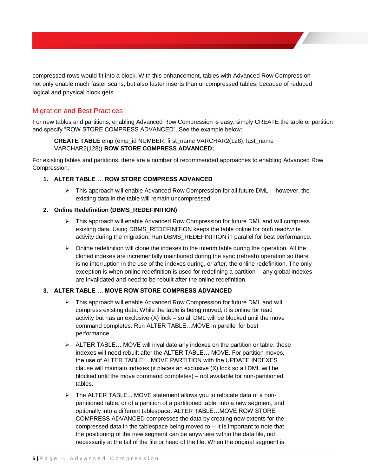compressed rows would fit into a block. With this enhancement, tables with Advanced Row Compression not only enable much faster scans, but also faster inserts than uncompressed tables, because of reduced logical and physical block gets.

# <span id="page-5-0"></span>Migration and Best Practices

For new tables and partitions, enabling Advanced Row Compression is easy: simply CREATE the table or partition and specify "ROW STORE COMPRESS ADVANCED". See the example below:

**CREATE TABLE** emp (emp\_id NUMBER, first\_name VARCHAR2(128), last\_name VARCHAR2(128)) **ROW STORE COMPRESS ADVANCED;**

For existing tables and partitions, there are a number of recommended approaches to enabling Advanced Row Compression:

#### **1. ALTER TABLE … ROW STORE COMPRESS ADVANCED**

 $\triangleright$  This approach will enable Advanced Row Compression for all future DML -- however, the existing data in the table will remain uncompressed.

#### **2. Online Redefinition (DBMS\_REDEFINITION)**

- $\triangleright$  This approach will enable Advanced Row Compression for future DML and will compress existing data. Using DBMS\_REDEFINITION keeps the table online for both read/write activity during the migration. Run DBMS\_REDEFINITION in parallel for best performance.
- $\triangleright$  Online redefinition will clone the indexes to the interim table during the operation. All the cloned indexes are incrementally maintained during the sync (refresh) operation so there is no interruption in the use of the indexes during, or after, the online redefinition. The only exception is when online redefinition is used for redefining a partition -- any global indexes are invalidated and need to be rebuilt after the online redefinition.

#### **3. ALTER TABLE … MOVE ROW STORE COMPRESS ADVANCED**

- $\triangleright$  This approach will enable Advanced Row Compression for future DML and will compress existing data. While the table is being moved, it is online for read activity but has an exclusive (X) lock – so all DML will be blocked until the move command completes. Run ALTER TABLE…MOVE in parallel for best performance.
- $\triangleright$  ALTER TABLE... MOVE will invalidate any indexes on the partition or table; those indexes will need rebuilt after the ALTER TABLE… MOVE. For partition moves, the use of ALTER TABLE… MOVE PARTITION with the UPDATE INDEXES clause will maintain indexes (it places an exclusive (X) lock so all DML will be blocked until the move command completes) – not available for non-partitioned tables.
- > The ALTER TABLE... MOVE statement allows you to relocate data of a nonpartitioned table, or of a partition of a partitioned table, into a new segment, and optionally into a different tablespace. ALTER TABLE…MOVE ROW STORE COMPRESS ADVANCED compresses the data by creating new extents for the compressed data in the tablespace being moved to -- it is important to note that the positioning of the new segment can be anywhere within the data file, not necessarily at the tail of the file or head of the file. When the original segment is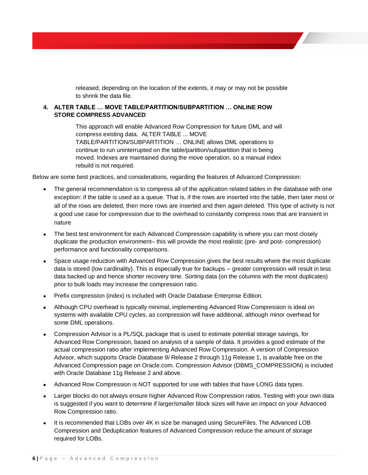released, depending on the location of the extents, it may or may not be possible to shrink the data file.

#### **4. ALTER TABLE … MOVE TABLE/PARTITION/SUBPARTITION … ONLINE ROW STORE COMPRESS ADVANCED**

This approach will enable Advanced Row Compression for future DML and will compress existing data. ALTER TABLE ... MOVE TABLE/PARTITION/SUBPARTITION … ONLINE allows DML operations to continue to run uninterrupted on the table/partition/subpartition that is being moved. Indexes are maintained during the move operation, so a manual index rebuild is not required.

Below are some best practices, and considerations, regarding the features of Advanced Compression:

- The general recommendation is to compress all of the application related tables in the database with one exception: if the table is used as a queue. That is, if the rows are inserted into the table, then later most or all of the rows are deleted, then more rows are inserted and then again deleted. This type of activity is not a good use case for compression due to the overhead to constantly compress rows that are transient in nature
- The best test environment for each Advanced Compression capability is where you can most closely duplicate the production environment– this will provide the most realistic (pre- and post- compression) performance and functionality comparisons.
- Space usage reduction with Advanced Row Compression gives the best results where the most duplicate data is stored (low cardinality). This is especially true for backups -- greater compression will result in less data backed up and hence shorter recovery time. Sorting data (on the columns with the most duplicates) prior to bulk loads may increase the compression ratio.
- Prefix compression (index) is included with Oracle Database Enterprise Edition.
- Although CPU overhead is typically minimal, implementing Advanced Row Compression is ideal on systems with available CPU cycles, as compression will have additional, although minor overhead for some DML operations.
- Compression Advisor is a PL/SQL package that is used to estimate potential storage savings, for Advanced Row Compression, based on analysis of a sample of data. It provides a good estimate of the actual compression ratio after implementing Advanced Row Compression. A version of Compression Advisor, which supports Oracle Database 9*i* Release 2 through 11g Release 1, is available free on the Advanced Compression page on Oracle.com. Compression Advisor (DBMS\_COMPRESSION) is included with Oracle Database 11g Release 2 and above.
- Advanced Row Compression is NOT supported for use with tables that have LONG data types.
- Larger blocks do not always ensure higher Advanced Row Compression ratios. Testing with your own data is suggested if you want to determine if larger/smaller block sizes will have an impact on your Advanced Row Compression ratio.
- It is recommended that LOBs over 4K in size be managed using SecureFiles. The Advanced LOB Compression and Deduplication features of Advanced Compression reduce the amount of storage required for LOBs.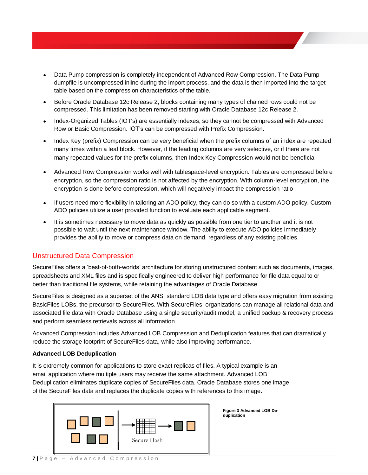- Data Pump compression is completely independent of Advanced Row Compression. The Data Pump dumpfile is uncompressed inline during the import process, and the data is then imported into the target table based on the compression characteristics of the table.
- Before Oracle Database 12c Release 2, blocks containing many types of chained rows could not be compressed. This limitation has been removed starting with Oracle Database 12c Release 2.
- Index-Organized Tables (IOT's) are essentially indexes, so they cannot be compressed with Advanced Row or Basic Compression. IOT's can be compressed with Prefix Compression.
- Index Key (prefix) Compression can be very beneficial when the prefix columns of an index are repeated many times within a leaf block. However, if the leading columns are very selective, or if there are not many repeated values for the prefix columns, then Index Key Compression would not be beneficial
- Advanced Row Compression works well with tablespace-level encryption. Tables are compressed before encryption, so the compression ratio is not affected by the encryption. With column-level encryption, the encryption is done before compression, which will negatively impact the compression ratio
- If users need more flexibility in tailoring an ADO policy, they can do so with a custom ADO policy. Custom ADO policies utilize a user provided function to evaluate each applicable segment.
- It is sometimes necessary to move data as quickly as possible from one tier to another and it is not possible to wait until the next maintenance window. The ability to execute ADO policies immediately provides the ability to move or compress data on demand, regardless of any existing policies.

# <span id="page-7-0"></span>Unstructured Data Compression

SecureFiles offers a 'best-of-both-worlds' architecture for storing unstructured content such as documents, images, spreadsheets and XML files and is specifically engineered to deliver high performance for file data equal to or better than traditional file systems, while retaining the advantages of Oracle Database.

SecureFiles is designed as a superset of the ANSI standard LOB data type and offers easy migration from existing BasicFiles LOBs, the precursor to SecureFiles. With SecureFiles, organizations can manage all relational data and associated file data with Oracle Database using a single security/audit model, a unified backup & recovery process and perform seamless retrievals across all information.

Advanced Compression includes Advanced LOB Compression and Deduplication features that can dramatically reduce the storage footprint of SecureFiles data, while also improving performance.

#### **Advanced LOB Deduplication**

It is extremely common for applications to store exact replicas of files. A typical example is an email application where multiple users may receive the same attachment. Advanced LOB Deduplication eliminates duplicate copies of SecureFiles data. Oracle Database stores one image of the SecureFiles data and replaces the duplicate copies with references to this image.



**Figure 3 Advanced LOB Deduplication**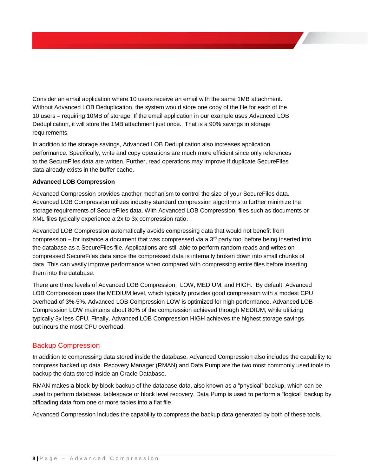Consider an email application where 10 users receive an email with the same 1MB attachment. Without Advanced LOB Deduplication, the system would store one copy of the file for each of the 10 users – requiring 10MB of storage. If the email application in our example uses Advanced LOB Deduplication, it will store the 1MB attachment just once. That is a 90% savings in storage requirements.

In addition to the storage savings, Advanced LOB Deduplication also increases application performance. Specifically, write and copy operations are much more efficient since only references to the SecureFiles data are written. Further, read operations may improve if duplicate SecureFiles data already exists in the buffer cache.

#### **Advanced LOB Compression**

Advanced Compression provides another mechanism to control the size of your SecureFiles data. Advanced LOB Compression utilizes industry standard compression algorithms to further minimize the storage requirements of SecureFiles data. With Advanced LOB Compression, files such as documents or XML files typically experience a 2x to 3x compression ratio.

Advanced LOB Compression automatically avoids compressing data that would not benefit from compression – for instance a document that was compressed via a  $3<sup>rd</sup>$  party tool before being inserted into the database as a SecureFiles file. Applications are still able to perform random reads and writes on compressed SecureFiles data since the compressed data is internally broken down into small chunks of data. This can vastly improve performance when compared with compressing entire files before inserting them into the database.

There are three levels of Advanced LOB Compression: LOW, MEDIUM, and HIGH. By default, Advanced LOB Compression uses the MEDIUM level, which typically provides good compression with a modest CPU overhead of 3%-5%. Advanced LOB Compression LOW is optimized for high performance. Advanced LOB Compression LOW maintains about 80% of the compression achieved through MEDIUM, while utilizing typically 3x less CPU. Finally, Advanced LOB Compression HIGH achieves the highest storage savings but incurs the most CPU overhead.

# <span id="page-8-0"></span>Backup Compression

In addition to compressing data stored inside the database, Advanced Compression also includes the capability to compress backed up data. Recovery Manager (RMAN) and Data Pump are the two most commonly used tools to backup the data stored inside an Oracle Database.

RMAN makes a block-by-block backup of the database data, also known as a "physical" backup, which can be used to perform database, tablespace or block level recovery. Data Pump is used to perform a "logical" backup by offloading data from one or more tables into a flat file.

Advanced Compression includes the capability to compress the backup data generated by both of these tools.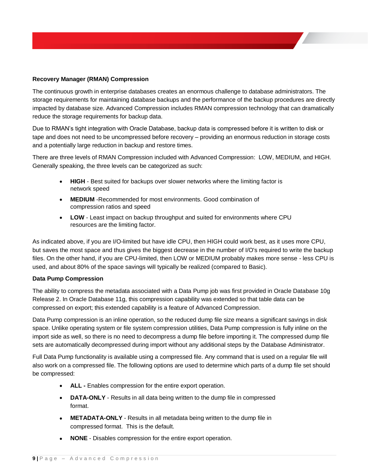#### **Recovery Manager (RMAN) Compression**

The continuous growth in enterprise databases creates an enormous challenge to database administrators. The storage requirements for maintaining database backups and the performance of the backup procedures are directly impacted by database size. Advanced Compression includes RMAN compression technology that can dramatically reduce the storage requirements for backup data.

Due to RMAN's tight integration with Oracle Database, backup data is compressed before it is written to disk or tape and does not need to be uncompressed before recovery – providing an enormous reduction in storage costs and a potentially large reduction in backup and restore times.

There are three levels of RMAN Compression included with Advanced Compression: LOW, MEDIUM, and HIGH. Generally speaking, the three levels can be categorized as such:

- **HIGH** Best suited for backups over slower networks where the limiting factor is network speed
- **MEDIUM** -Recommended for most environments. Good combination of compression ratios and speed
- **LOW** Least impact on backup throughput and suited for environments where CPU resources are the limiting factor.

As indicated above, if you are I/O-limited but have idle CPU, then HIGH could work best, as it uses more CPU, but saves the most space and thus gives the biggest decrease in the number of I/O's required to write the backup files. On the other hand, if you are CPU-limited, then LOW or MEDIUM probably makes more sense - less CPU is used, and about 80% of the space savings will typically be realized (compared to Basic).

#### **Data Pump Compression**

The ability to compress the metadata associated with a Data Pump job was first provided in Oracle Database 10g Release 2. In Oracle Database 11g, this compression capability was extended so that table data can be compressed on export; this extended capability is a feature of Advanced Compression.

Data Pump compression is an inline operation, so the reduced dump file size means a significant savings in disk space. Unlike operating system or file system compression utilities, Data Pump compression is fully inline on the import side as well, so there is no need to decompress a dump file before importing it. The compressed dump file sets are automatically decompressed during import without any additional steps by the Database Administrator.

Full Data Pump functionality is available using a compressed file. Any command that is used on a regular file will also work on a compressed file. The following options are used to determine which parts of a dump file set should be compressed:

- **ALL -** Enables compression for the entire export operation.
- **DATA-ONLY** Results in all data being written to the dump file in compressed format.
- **METADATA-ONLY** Results in all metadata being written to the dump file in compressed format. This is the default.
- **NONE** Disables compression for the entire export operation.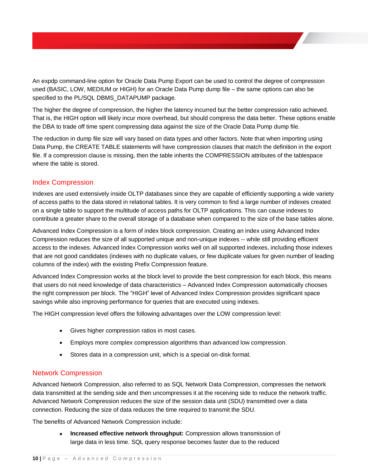An expdp command-line option for Oracle Data Pump Export can be used to control the degree of compression used (BASIC, LOW, MEDIUM or HIGH) for an Oracle Data Pump dump file – the same options can also be specified to the PL/SQL DBMS\_DATAPUMP package.

The higher the degree of compression, the higher the latency incurred but the better compression ratio achieved. That is, the HIGH option will likely incur more overhead, but should compress the data better. These options enable the DBA to trade off time spent compressing data against the size of the Oracle Data Pump dump file.

The reduction in dump file size will vary based on data types and other factors. Note that when importing using Data Pump, the CREATE TABLE statements will have compression clauses that match the definition in the export file. If a compression clause is missing, then the table inherits the COMPRESSION attributes of the tablespace where the table is stored.

# <span id="page-10-0"></span>Index Compression

Indexes are used extensively inside OLTP databases since they are capable of efficiently supporting a wide variety of access paths to the data stored in relational tables. It is very common to find a large number of indexes created on a single table to support the multitude of access paths for OLTP applications. This can cause indexes to contribute a greater share to the overall storage of a database when compared to the size of the base tables alone.

Advanced Index Compression is a form of index block compression. Creating an index using Advanced Index Compression reduces the size of all supported unique and non-unique indexes -- while still providing efficient access to the indexes. Advanced Index Compression works well on all supported indexes, including those indexes that are not good candidates (indexes with no duplicate values, or few duplicate values for given number of leading columns of the index) with the existing Prefix Compression feature.

Advanced Index Compression works at the block level to provide the best compression for each block, this means that users do not need knowledge of data characteristics – Advanced Index Compression automatically chooses the right compression per block. The "HIGH" level of Advanced Index Compression provides significant space savings while also improving performance for queries that are executed using indexes.

The HIGH compression level offers the following advantages over the LOW compression level:

- Gives higher compression ratios in most cases.
- Employs more complex compression algorithms than advanced low compression.
- Stores data in a compression unit, which is a special on-disk format.

#### <span id="page-10-1"></span>Network Compression

Advanced Network Compression, also referred to as SQL Network Data Compression, compresses the network data transmitted at the sending side and then uncompresses it at the receiving side to reduce the network traffic. Advanced Network Compression reduces the size of the session data unit (SDU) transmitted over a data connection. Reducing the size of data reduces the time required to transmit the SDU.

The benefits of Advanced Network Compression include:

 **Increased effective network throughput:** Compression allows transmission of large data in less time. SQL query response becomes faster due to the reduced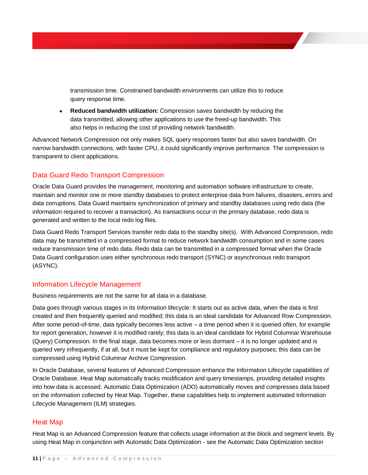transmission time. Constrained bandwidth environments can utilize this to reduce query response time.

 **Reduced bandwidth utilization:** Compression saves bandwidth by reducing the data transmitted, allowing other applications to use the freed-up bandwidth. This also helps in reducing the cost of providing network bandwidth.

Advanced Network Compression not only makes SQL query responses faster but also saves bandwidth. On narrow bandwidth connections, with faster CPU, it could significantly improve performance. The compression is transparent to client applications.

# <span id="page-11-0"></span>Data Guard Redo Transport Compression

Oracle Data Guard provides the management, monitoring and automation software infrastructure to create, maintain and monitor one or more standby databases to protect enterprise data from failures, disasters, errors and data corruptions. Data Guard maintains synchronization of primary and standby databases using redo data (the information required to recover a transaction). As transactions occur in the primary database, redo data is generated and written to the local redo log files.

Data Guard Redo Transport Services transfer redo data to the standby site(s). With Advanced Compression, redo data may be transmitted in a compressed format to reduce network bandwidth consumption and in some cases reduce transmission time of redo data. Redo data can be transmitted in a compressed format when the Oracle Data Guard configuration uses either synchronous redo transport (SYNC) or asynchronous redo transport (ASYNC).

# <span id="page-11-1"></span>Information Lifecycle Management

Business requirements are not the same for all data in a database.

Data goes through various stages in its Information lifecycle: It starts out as active data, when the data is first created and then frequently queried and modified; this data is an ideal candidate for Advanced Row Compression. After some period-of-time, data typically becomes less active – a time period when it is queried often, for example for report generation, however it is modified rarely; this data is an ideal candidate for Hybrid Columnar Warehouse (Query) Compression. In the final stage, data becomes more or less dormant – it is no longer updated and is queried very infrequently, if at all, but it must be kept for compliance and regulatory purposes; this data can be compressed using Hybrid Columnar Archive Compression.

In Oracle Database, several features of Advanced Compression enhance the Information Lifecycle capabilities of Oracle Database. Heat Map automatically tracks modification and query timestamps, providing detailed insights into how data is accessed. Automatic Data Optimization (ADO) automatically moves and compresses data based on the information collected by Heat Map. Together, these capabilities help to implement automated Information Lifecycle Management (ILM) strategies.

#### <span id="page-11-2"></span>Heat Map

Heat Map is an Advanced Compression feature that collects usage information at the block and segment levels. By using Heat Map in conjunction with Automatic Data Optimization - see the Automatic Data Optimization section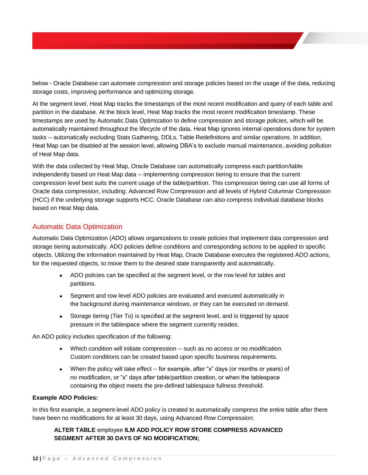below - Oracle Database can automate compression and storage policies based on the usage of the data, reducing storage costs, improving performance and optimizing storage.

At the segment level, Heat Map tracks the timestamps of the most recent modification and query of each table and partition in the database. At the block level, Heat Map tracks the most recent modification timestamp. These timestamps are used by Automatic Data Optimization to define compression and storage policies, which will be automatically maintained throughout the lifecycle of the data. Heat Map ignores internal operations done for system tasks -- automatically excluding Stats Gathering, DDLs, Table Redefinitions and similar operations. In addition, Heat Map can be disabled at the session level, allowing DBA's to exclude manual maintenance, avoiding pollution of Heat Map data.

With the data collected by Heat Map, Oracle Database can automatically compress each partition/table independently based on Heat Map data -- implementing compression tiering to ensure that the current compression level best suits the current usage of the table/partition. This compression tiering can use all forms of Oracle data compression, including: Advanced Row Compression and all levels of Hybrid Columnar Compression (HCC) if the underlying storage supports HCC. Oracle Database can also compress individual database blocks based on Heat Map data.

# <span id="page-12-0"></span>Automatic Data Optimization

Automatic Data Optimization (ADO) allows organizations to create policies that implement data compression and storage tiering automatically. ADO policies define conditions and corresponding actions to be applied to specific objects. Utilizing the information maintained by Heat Map, Oracle Database executes the registered ADO actions, for the requested objects, to move them to the desired state transparently and automatically.

- ADO policies can be specified at the segment level, or the row level for tables and partitions.
- Segment and row level ADO policies are evaluated and executed automatically in the background during maintenance windows, or they can be executed on demand.
- Storage tiering (Tier To) is specified at the segment level, and is triggered by space pressure in the tablespace where the segment currently resides.

An ADO policy includes specification of the following:

- Which condition will initiate compression -- such as *no access* or no *modification*. Custom conditions can be created based upon specific business requirements.
- When the policy will take effect -- for example, after "x" days (or months or years) of no modification, or "x" days after table/partition creation, or when the tablespace containing the object meets the pre-defined tablespace fullness threshold.

#### **Example ADO Policies:**

In this first example, a segment-level ADO policy is created to automatically compress the entire table after there have been no modifications for at least 30 days, using Advanced Row Compression:

### **ALTER TABLE** employee **ILM ADD POLICY ROW STORE COMPRESS ADVANCED SEGMENT AFTER 30 DAYS OF NO MODIFICATION;**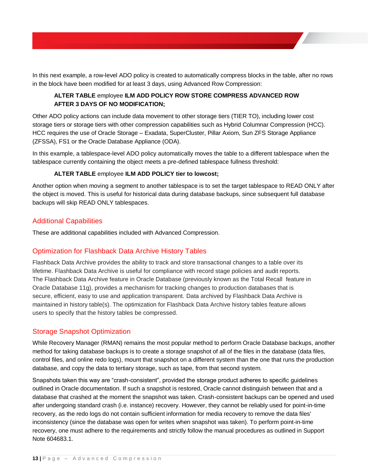In this next example, a row-level ADO policy is created to automatically compress blocks in the table, after no rows in the block have been modified for at least 3 days, using Advanced Row Compression:

# **ALTER TABLE** employee **ILM ADD POLICY ROW STORE COMPRESS ADVANCED ROW AFTER 3 DAYS OF NO MODIFICATION;**

Other ADO policy actions can include data movement to other storage tiers (TIER TO), including lower cost storage tiers or storage tiers with other compression capabilities such as Hybrid Columnar Compression (HCC). HCC requires the use of Oracle Storage – Exadata, SuperCluster, Pillar Axiom, Sun ZFS Storage Appliance (ZFSSA), FS1 or the Oracle Database Appliance (ODA).

In this example, a tablespace-level ADO policy automatically moves the table to a different tablespace when the tablespace currently containing the object meets a pre-defined tablespace fullness threshold:

### **ALTER TABLE** employee **ILM ADD POLICY tier to lowcost;**

Another option when moving a segment to another tablespace is to set the target tablespace to READ ONLY after the object is moved. This is useful for historical data during database backups, since subsequent full database backups will skip READ ONLY tablespaces.

# <span id="page-13-0"></span>Additional Capabilities

These are additional capabilities included with Advanced Compression.

# <span id="page-13-1"></span>Optimization for Flashback Data Archive History Tables

Flashback Data Archive provides the ability to track and store transactional changes to a table over its lifetime. Flashback Data Archive is useful for compliance with record stage policies and audit reports. The Flashback Data Archive feature in Oracle Database (previously known as the Total Recall feature in Oracle Database 11g), provides a mechanism for tracking changes to production databases that is secure, efficient, easy to use and application transparent. Data archived by Flashback Data Archive is maintained in history table(s). The optimization for Flashback Data Archive history tables feature allows users to specify that the history tables be compressed.

# <span id="page-13-2"></span>Storage Snapshot Optimization

While Recovery Manager (RMAN) remains the most popular method to perform Oracle Database backups, another method for taking database backups is to create a storage snapshot of all of the files in the database (data files, control files, and online redo logs), mount that snapshot on a different system than the one that runs the production database, and copy the data to tertiary storage, such as tape, from that second system.

Snapshots taken this way are "crash-consistent", provided the storage product adheres to specific guidelines outlined in Oracle documentation. If such a snapshot is restored, Oracle cannot distinguish between that and a database that crashed at the moment the snapshot was taken. Crash-consistent backups can be opened and used after undergoing standard crash (i.e. instance) recovery. However, they cannot be reliably used for point-in-time recovery, as the redo logs do not contain sufficient information for media recovery to remove the data files' inconsistency (since the database was open for writes when snapshot was taken). To perform point-in-time recovery, one must adhere to the requirements and strictly follow the manual procedures as outlined in Support Note 604683.1.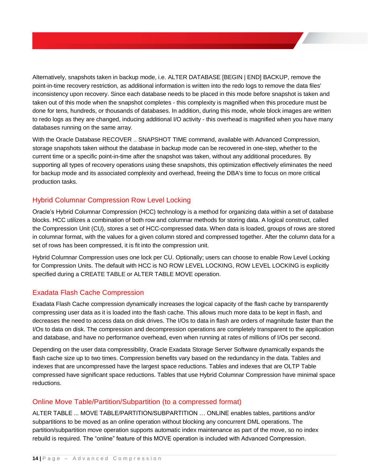Alternatively, snapshots taken in backup mode, i.e. ALTER DATABASE [BEGIN | END] BACKUP, remove the point-in-time recovery restriction, as additional information is written into the redo logs to remove the data files' inconsistency upon recovery. Since each database needs to be placed in this mode before snapshot is taken and taken out of this mode when the snapshot completes - this complexity is magnified when this procedure must be done for tens, hundreds, or thousands of databases. In addition, during this mode, whole block images are written to redo logs as they are changed, inducing additional I/O activity - this overhead is magnified when you have many databases running on the same array.

With the Oracle Database RECOVER .. SNAPSHOT TIME command, available with Advanced Compression, storage snapshots taken without the database in backup mode can be recovered in one-step, whether to the current time or a specific point-in-time after the snapshot was taken, without any additional procedures. By supporting all types of recovery operations using these snapshots, this optimization effectively eliminates the need for backup mode and its associated complexity and overhead, freeing the DBA's time to focus on more critical production tasks.

# <span id="page-14-0"></span>Hybrid Columnar Compression Row Level Locking

Oracle's Hybrid Columnar Compression (HCC) technology is a method for organizing data within a set of database blocks. HCC utilizes a combination of both row and columnar methods for storing data. A logical construct, called the Compression Unit (CU), stores a set of HCC-compressed data. When data is loaded, groups of rows are stored in columnar format, with the values for a given column stored and compressed together. After the column data for a set of rows has been compressed, it is fit into the compression unit.

Hybrid Columnar Compression uses one lock per CU. Optionally; users can choose to enable Row Level Locking for Compression Units. The default with HCC is NO ROW LEVEL LOCKING, ROW LEVEL LOCKING is explicitly specified during a CREATE TABLE or ALTER TABLE MOVE operation.

# <span id="page-14-1"></span>Exadata Flash Cache Compression

Exadata Flash Cache compression dynamically increases the logical capacity of the flash cache by transparently compressing user data as it is loaded into the flash cache. This allows much more data to be kept in flash, and decreases the need to access data on disk drives. The I/Os to data in flash are orders of magnitude faster than the I/Os to data on disk. The compression and decompression operations are completely transparent to the application and database, and have no performance overhead, even when running at rates of millions of I/Os per second.

Depending on the user data compressibility, Oracle Exadata Storage Server Software dynamically expands the flash cache size up to two times. Compression benefits vary based on the redundancy in the data. Tables and indexes that are uncompressed have the largest space reductions. Tables and indexes that are OLTP Table compressed have significant space reductions. Tables that use Hybrid Columnar Compression have minimal space reductions.

#### <span id="page-14-2"></span>Online Move Table/Partition/Subpartition (to a compressed format)

ALTER TABLE ... MOVE TABLE/PARTITION/SUBPARTITION … ONLINE enables tables, partitions and/or subpartitions to be moved as an online operation without blocking any concurrent DML operations. The partition/subpartition move operation supports automatic index maintenance as part of the move, so no index rebuild is required. The "online" feature of this MOVE operation is included with Advanced Compression.